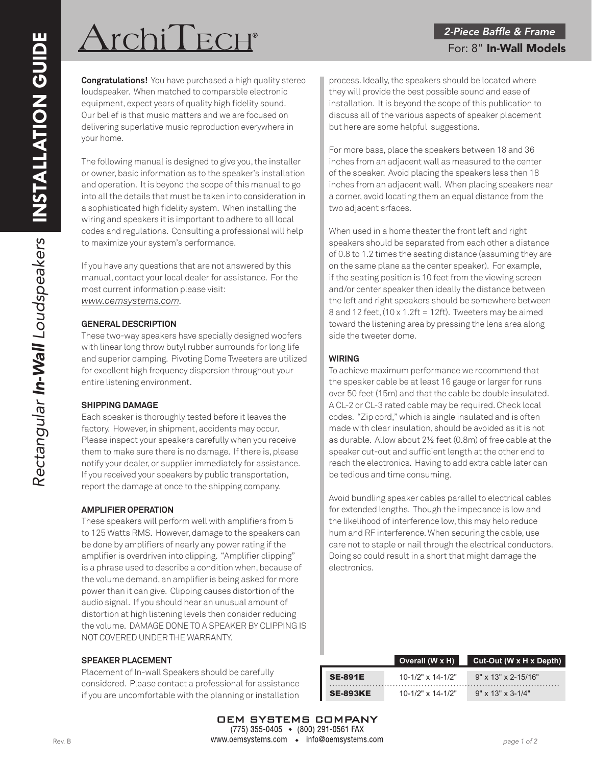# $\operatorname{Archif}\operatorname{ECH}^*$

**Congratulations!** You have purchased a high quality stereo loudspeaker. When matched to comparable electronic equipment, expect years of quality high fidelity sound. Our belief is that music matters and we are focused on delivering superlative music reproduction everywhere in your home.

The following manual is designed to give you, the installer or owner, basic information as to the speaker's installation and operation. It is beyond the scope of this manual to go into all the details that must be taken into consideration in a sophisticated high fidelity system. When installing the wiring and speakers it is important to adhere to all local codes and regulations. Consulting a professional will help to maximize your system's performance.

If you have any questions that are not answered by this manual, contact your local dealer for assistance. For the most current information please visit: *www.oemsystems.com.*

### **GENERAL DESCRIPTION**

These two-way speakers have specially designed woofers with linear long throw butyl rubber surrounds for long life and superior damping. Pivoting Dome Tweeters are utilized for excellent high frequency dispersion throughout your entire listening environment.

#### **SHIPPING DAMAGE**

Each speaker is thoroughly tested before it leaves the factory. However, in shipment, accidents may occur. Please inspect your speakers carefully when you receive them to make sure there is no damage. If there is, please notify your dealer, or supplier immediately for assistance. If you received your speakers by public transportation, report the damage at once to the shipping company.

# **AMPLIFIER OPERATION**

These speakers will perform well with amplifiers from 5 to 125 Watts RMS. However, damage to the speakers can be done by amplifiers of nearly any power rating if the amplifier is overdriven into clipping. "Amplifier clipping" is a phrase used to describe a condition when, because of the volume demand, an amplifier is being asked for more power than it can give. Clipping causes distortion of the audio signal. If you should hear an unusual amount of distortion at high listening levels then consider reducing the volume. DAMAGE DONE TO A SPEAKER BY CLIPPING IS NOT COVERED UNDER THE WARRANTY.

#### **SPEAKER PLACEMENT**

Placement of In-wall Speakers should be carefully considered. Please contact a professional for assistance if you are uncomfortable with the planning or installation

process. Ideally, the speakers should be located where they will provide the best possible sound and ease of installation. It is beyond the scope of this publication to discuss all of the various aspects of speaker placement but here are some helpful suggestions.

For more bass, place the speakers between 18 and 36 inches from an adjacent wall as measured to the center of the speaker. Avoid placing the speakers less then 18 inches from an adjacent wall. When placing speakers near a corner, avoid locating them an equal distance from the two adjacent srfaces.

When used in a home theater the front left and right speakers should be separated from each other a distance of 0.8 to 1.2 times the seating distance (assuming they are on the same plane as the center speaker). For example, if the seating position is 10 feet from the viewing screen and/or center speaker then ideally the distance between the left and right speakers should be somewhere between 8 and 12 feet,  $(10 \times 1.2$ ft = 12ft). Tweeters may be aimed toward the listening area by pressing the lens area along side the tweeter dome.

# **WIRING**

To achieve maximum performance we recommend that the speaker cable be at least 16 gauge or larger for runs over 50 feet (15m) and that the cable be double insulated. A CL-2 or CL-3 rated cable may be required. Check local codes. "Zip cord," which is single insulated and is often made with clear insulation, should be avoided as it is not as durable. Allow about 2½ feet (0.8m) of free cable at the speaker cut-out and sufficient length at the other end to reach the electronics. Having to add extra cable later can be tedious and time consuming.

Avoid bundling speaker cables parallel to electrical cables for extended lengths. Though the impedance is low and the likelihood of interference low, this may help reduce hum and RF interference. When securing the cable, use care not to staple or nail through the electrical conductors. Doing so could result in a short that might damage the electronics.

|                 | Overall (W x H)         | Cut-Out (W $\times$ H $\times$ Depth) |
|-----------------|-------------------------|---------------------------------------|
| <b>SE-891E</b>  | $10-1/2$ " x $14-1/2$ " | $9" \times 13" \times 2 - 15/16"$     |
| <b>SE-893KE</b> | $10-1/2$ " x $14-1/2$ " | $9'' \times 13'' \times 3 - 1/4''$    |